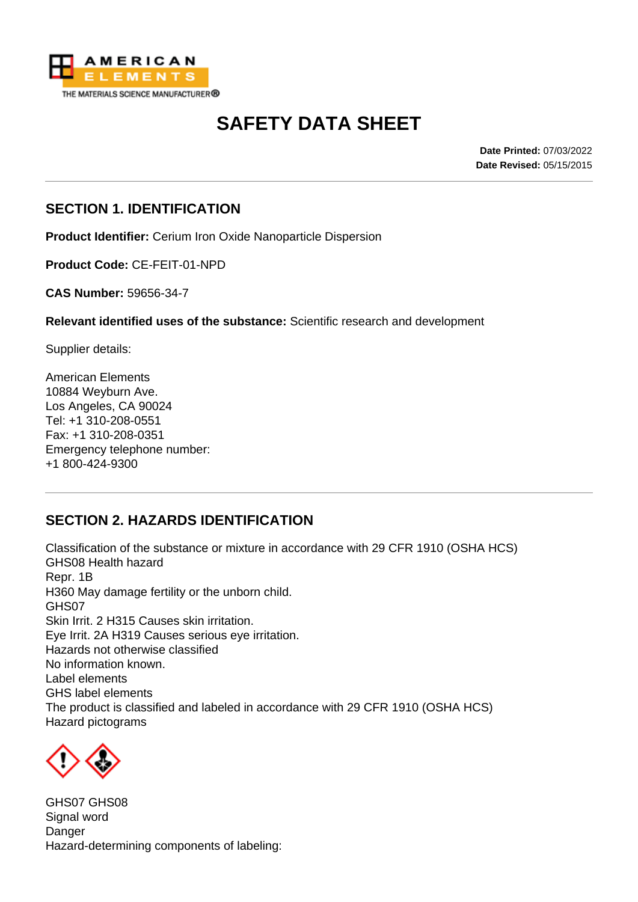

# **SAFETY DATA SHEET**

**Date Printed:** 07/03/2022 **Date Revised:** 05/15/2015

### **SECTION 1. IDENTIFICATION**

**Product Identifier:** Cerium Iron Oxide Nanoparticle Dispersion

**Product Code:** CE-FEIT-01-NPD

**CAS Number:** 59656-34-7

**Relevant identified uses of the substance:** Scientific research and development

Supplier details:

American Elements 10884 Weyburn Ave. Los Angeles, CA 90024 Tel: +1 310-208-0551 Fax: +1 310-208-0351 Emergency telephone number: +1 800-424-9300

### **SECTION 2. HAZARDS IDENTIFICATION**

Classification of the substance or mixture in accordance with 29 CFR 1910 (OSHA HCS) GHS08 Health hazard Repr. 1B H360 May damage fertility or the unborn child. GHS07 Skin Irrit. 2 H315 Causes skin irritation. Eye Irrit. 2A H319 Causes serious eye irritation. Hazards not otherwise classified No information known. Label elements GHS label elements The product is classified and labeled in accordance with 29 CFR 1910 (OSHA HCS) Hazard pictograms



GHS07 GHS08 Signal word **Danger** Hazard-determining components of labeling: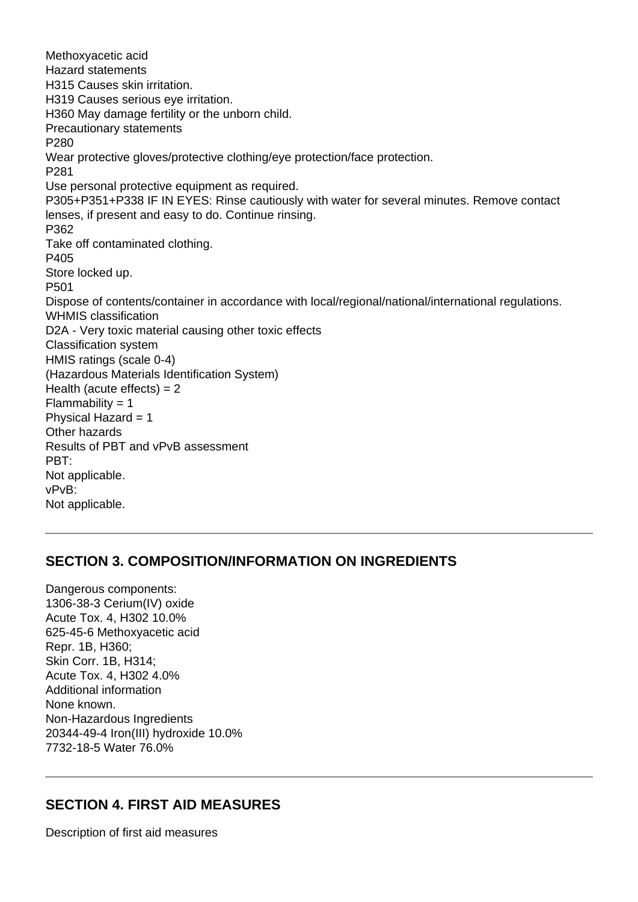Methoxyacetic acid Hazard statements H315 Causes skin irritation. H319 Causes serious eye irritation. H360 May damage fertility or the unborn child. Precautionary statements P280 Wear protective gloves/protective clothing/eye protection/face protection. P281 Use personal protective equipment as required. P305+P351+P338 IF IN EYES: Rinse cautiously with water for several minutes. Remove contact lenses, if present and easy to do. Continue rinsing. P362 Take off contaminated clothing. P405 Store locked up. P501 Dispose of contents/container in accordance with local/regional/national/international regulations. WHMIS classification D2A - Very toxic material causing other toxic effects Classification system HMIS ratings (scale 0-4) (Hazardous Materials Identification System) Health (acute effects)  $= 2$ Flammability  $= 1$ Physical Hazard = 1 Other hazards Results of PBT and vPvB assessment PBT: Not applicable. vPvB: Not applicable.

#### **SECTION 3. COMPOSITION/INFORMATION ON INGREDIENTS**

Dangerous components: 1306-38-3 Cerium(IV) oxide Acute Tox. 4, H302 10.0% 625-45-6 Methoxyacetic acid Repr. 1B, H360; Skin Corr. 1B, H314; Acute Tox. 4, H302 4.0% Additional information None known. Non-Hazardous Ingredients 20344-49-4 Iron(III) hydroxide 10.0% 7732-18-5 Water 76.0%

#### **SECTION 4. FIRST AID MEASURES**

Description of first aid measures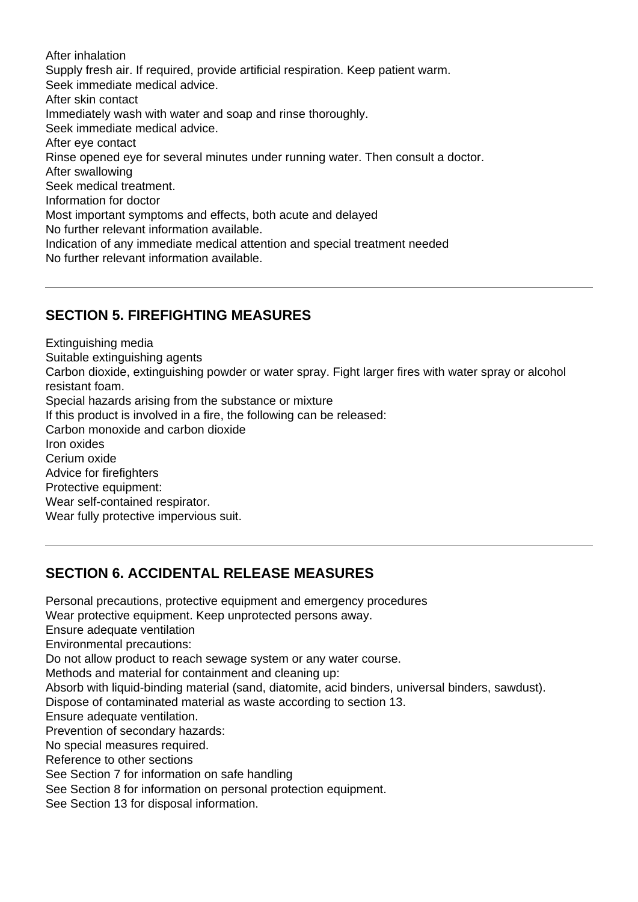After inhalation Supply fresh air. If required, provide artificial respiration. Keep patient warm. Seek immediate medical advice. After skin contact Immediately wash with water and soap and rinse thoroughly. Seek immediate medical advice. After eye contact Rinse opened eye for several minutes under running water. Then consult a doctor. After swallowing Seek medical treatment. Information for doctor Most important symptoms and effects, both acute and delayed No further relevant information available. Indication of any immediate medical attention and special treatment needed No further relevant information available.

## **SECTION 5. FIREFIGHTING MEASURES**

Extinguishing media Suitable extinguishing agents Carbon dioxide, extinguishing powder or water spray. Fight larger fires with water spray or alcohol resistant foam. Special hazards arising from the substance or mixture If this product is involved in a fire, the following can be released: Carbon monoxide and carbon dioxide Iron oxides Cerium oxide Advice for firefighters Protective equipment: Wear self-contained respirator. Wear fully protective impervious suit.

### **SECTION 6. ACCIDENTAL RELEASE MEASURES**

Personal precautions, protective equipment and emergency procedures Wear protective equipment. Keep unprotected persons away. Ensure adequate ventilation Environmental precautions: Do not allow product to reach sewage system or any water course. Methods and material for containment and cleaning up: Absorb with liquid-binding material (sand, diatomite, acid binders, universal binders, sawdust). Dispose of contaminated material as waste according to section 13. Ensure adequate ventilation. Prevention of secondary hazards: No special measures required. Reference to other sections See Section 7 for information on safe handling See Section 8 for information on personal protection equipment. See Section 13 for disposal information.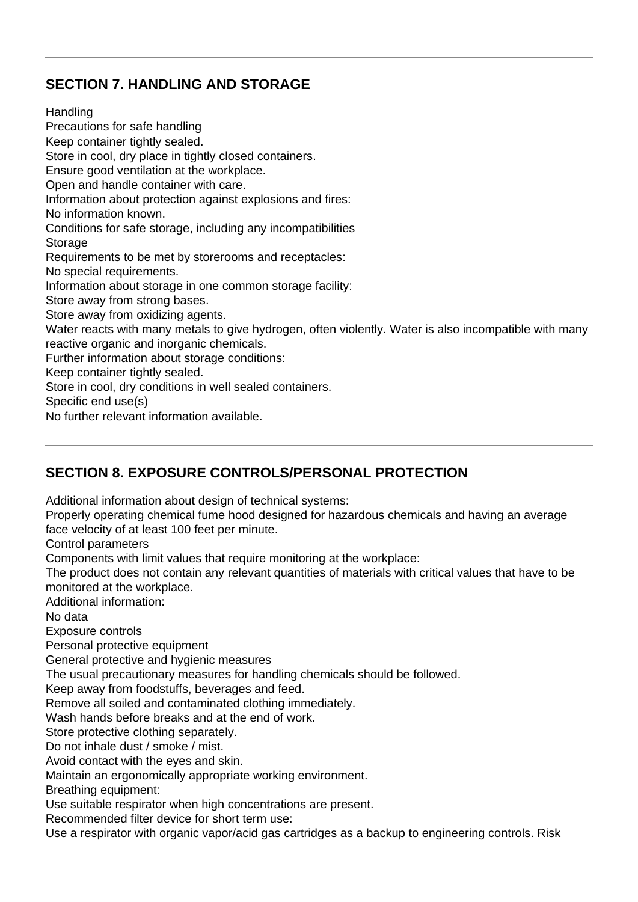### **SECTION 7. HANDLING AND STORAGE**

**Handling** Precautions for safe handling Keep container tightly sealed. Store in cool, dry place in tightly closed containers. Ensure good ventilation at the workplace. Open and handle container with care. Information about protection against explosions and fires: No information known. Conditions for safe storage, including any incompatibilities **Storage** Requirements to be met by storerooms and receptacles: No special requirements. Information about storage in one common storage facility: Store away from strong bases. Store away from oxidizing agents. Water reacts with many metals to give hydrogen, often violently. Water is also incompatible with many reactive organic and inorganic chemicals. Further information about storage conditions: Keep container tightly sealed. Store in cool, dry conditions in well sealed containers. Specific end use(s)

No further relevant information available.

### **SECTION 8. EXPOSURE CONTROLS/PERSONAL PROTECTION**

Additional information about design of technical systems:

Properly operating chemical fume hood designed for hazardous chemicals and having an average face velocity of at least 100 feet per minute.

Control parameters

Components with limit values that require monitoring at the workplace:

The product does not contain any relevant quantities of materials with critical values that have to be monitored at the workplace.

Additional information:

No data

Exposure controls

Personal protective equipment

General protective and hygienic measures

The usual precautionary measures for handling chemicals should be followed.

Keep away from foodstuffs, beverages and feed.

Remove all soiled and contaminated clothing immediately.

Wash hands before breaks and at the end of work.

Store protective clothing separately.

Do not inhale dust / smoke / mist.

Avoid contact with the eyes and skin.

Maintain an ergonomically appropriate working environment.

Breathing equipment:

Use suitable respirator when high concentrations are present.

Recommended filter device for short term use:

Use a respirator with organic vapor/acid gas cartridges as a backup to engineering controls. Risk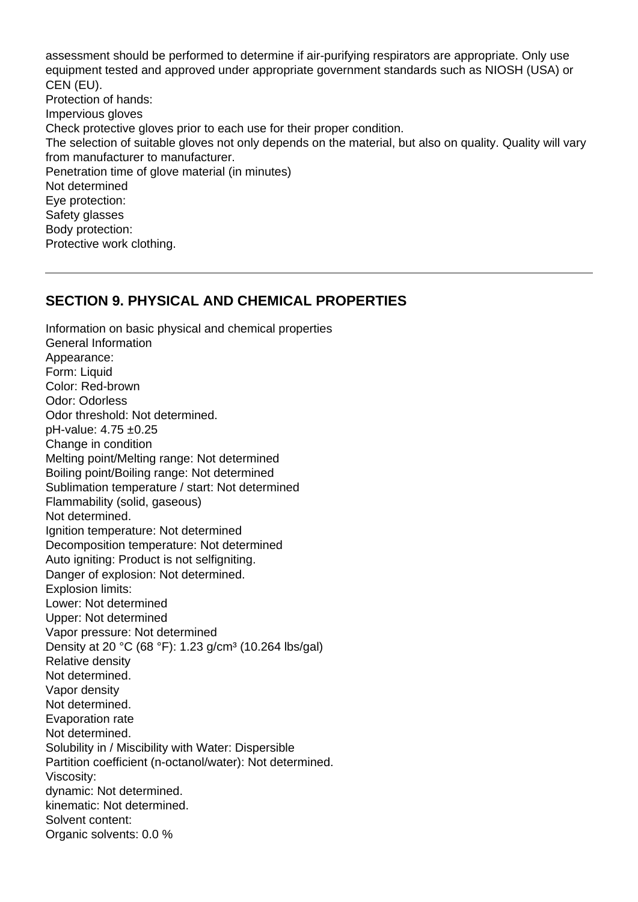assessment should be performed to determine if air-purifying respirators are appropriate. Only use equipment tested and approved under appropriate government standards such as NIOSH (USA) or CEN (EU). Protection of hands: Impervious gloves Check protective gloves prior to each use for their proper condition. The selection of suitable gloves not only depends on the material, but also on quality. Quality will vary from manufacturer to manufacturer. Penetration time of glove material (in minutes) Not determined Eye protection: Safety glasses Body protection: Protective work clothing.

#### **SECTION 9. PHYSICAL AND CHEMICAL PROPERTIES**

Information on basic physical and chemical properties General Information Appearance: Form: Liquid Color: Red-brown Odor: Odorless Odor threshold: Not determined. pH-value: 4.75 ±0.25 Change in condition Melting point/Melting range: Not determined Boiling point/Boiling range: Not determined Sublimation temperature / start: Not determined Flammability (solid, gaseous) Not determined. Ignition temperature: Not determined Decomposition temperature: Not determined Auto igniting: Product is not selfigniting. Danger of explosion: Not determined. Explosion limits: Lower: Not determined Upper: Not determined Vapor pressure: Not determined Density at 20 °C (68 °F): 1.23 g/cm<sup>3</sup> (10.264 lbs/gal) Relative density Not determined. Vapor density Not determined. Evaporation rate Not determined. Solubility in / Miscibility with Water: Dispersible Partition coefficient (n-octanol/water): Not determined. Viscosity: dynamic: Not determined. kinematic: Not determined. Solvent content: Organic solvents: 0.0 %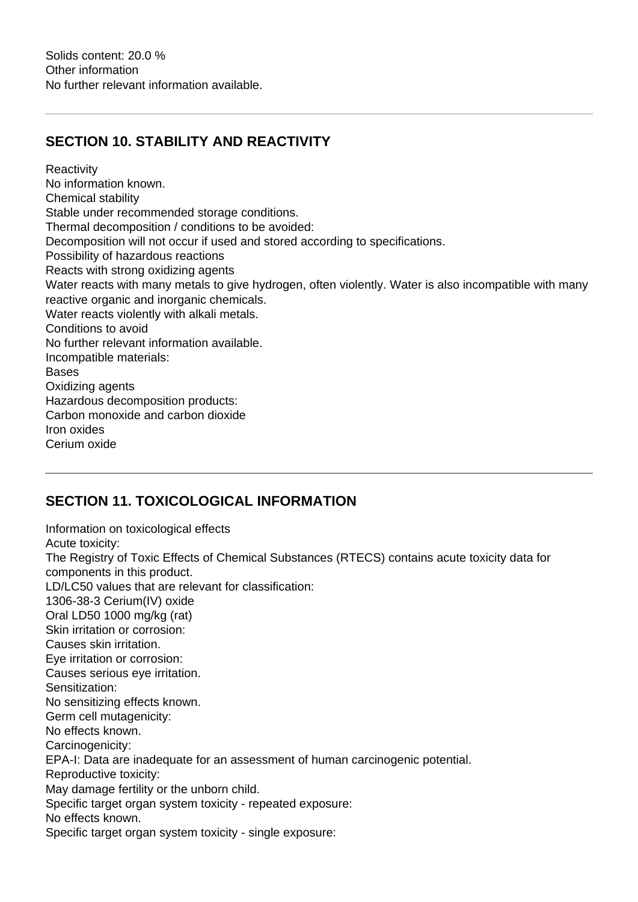### **SECTION 10. STABILITY AND REACTIVITY**

**Reactivity** No information known. Chemical stability Stable under recommended storage conditions. Thermal decomposition / conditions to be avoided: Decomposition will not occur if used and stored according to specifications. Possibility of hazardous reactions Reacts with strong oxidizing agents Water reacts with many metals to give hydrogen, often violently. Water is also incompatible with many reactive organic and inorganic chemicals. Water reacts violently with alkali metals. Conditions to avoid No further relevant information available. Incompatible materials: Bases Oxidizing agents Hazardous decomposition products: Carbon monoxide and carbon dioxide Iron oxides Cerium oxide

### **SECTION 11. TOXICOLOGICAL INFORMATION**

Information on toxicological effects Acute toxicity: The Registry of Toxic Effects of Chemical Substances (RTECS) contains acute toxicity data for components in this product. LD/LC50 values that are relevant for classification: 1306-38-3 Cerium(IV) oxide Oral LD50 1000 mg/kg (rat) Skin irritation or corrosion: Causes skin irritation. Eye irritation or corrosion: Causes serious eye irritation. Sensitization: No sensitizing effects known. Germ cell mutagenicity: No effects known. Carcinogenicity: EPA-I: Data are inadequate for an assessment of human carcinogenic potential. Reproductive toxicity: May damage fertility or the unborn child. Specific target organ system toxicity - repeated exposure: No effects known. Specific target organ system toxicity - single exposure: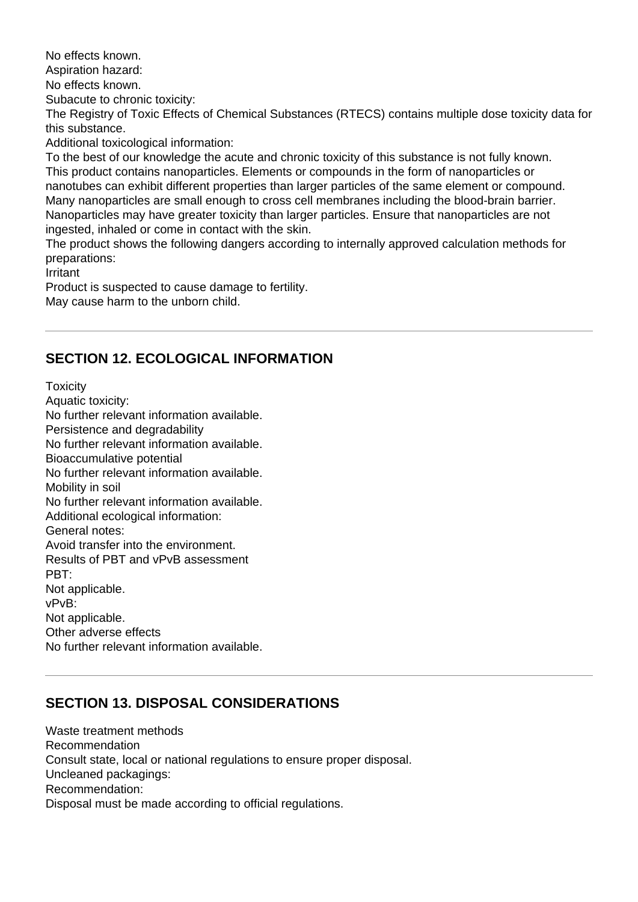No effects known.

Aspiration hazard:

No effects known.

Subacute to chronic toxicity:

The Registry of Toxic Effects of Chemical Substances (RTECS) contains multiple dose toxicity data for this substance.

Additional toxicological information:

To the best of our knowledge the acute and chronic toxicity of this substance is not fully known. This product contains nanoparticles. Elements or compounds in the form of nanoparticles or nanotubes can exhibit different properties than larger particles of the same element or compound. Many nanoparticles are small enough to cross cell membranes including the blood-brain barrier. Nanoparticles may have greater toxicity than larger particles. Ensure that nanoparticles are not ingested, inhaled or come in contact with the skin.

The product shows the following dangers according to internally approved calculation methods for preparations:

Irritant

Product is suspected to cause damage to fertility. May cause harm to the unborn child.

# **SECTION 12. ECOLOGICAL INFORMATION**

**Toxicity** Aquatic toxicity: No further relevant information available. Persistence and degradability No further relevant information available. Bioaccumulative potential No further relevant information available. Mobility in soil No further relevant information available. Additional ecological information: General notes: Avoid transfer into the environment. Results of PBT and vPvB assessment PBT: Not applicable. vPvB: Not applicable. Other adverse effects No further relevant information available.

# **SECTION 13. DISPOSAL CONSIDERATIONS**

Waste treatment methods Recommendation Consult state, local or national regulations to ensure proper disposal. Uncleaned packagings: Recommendation: Disposal must be made according to official regulations.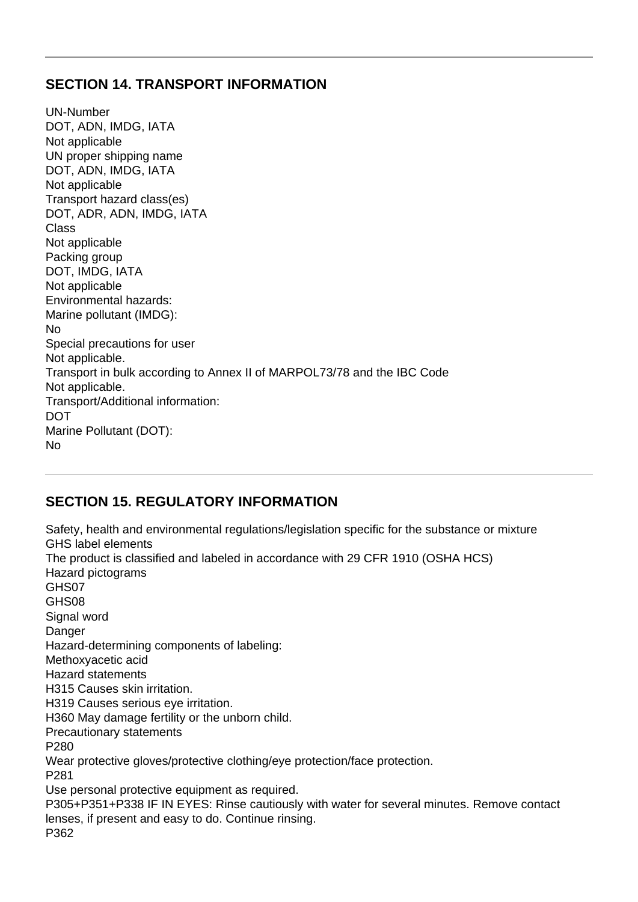#### **SECTION 14. TRANSPORT INFORMATION**

UN-Number DOT, ADN, IMDG, IATA Not applicable UN proper shipping name DOT, ADN, IMDG, IATA Not applicable Transport hazard class(es) DOT, ADR, ADN, IMDG, IATA Class Not applicable Packing group DOT, IMDG, IATA Not applicable Environmental hazards: Marine pollutant (IMDG): No Special precautions for user Not applicable. Transport in bulk according to Annex II of MARPOL73/78 and the IBC Code Not applicable. Transport/Additional information: **DOT** Marine Pollutant (DOT): No

#### **SECTION 15. REGULATORY INFORMATION**

Safety, health and environmental regulations/legislation specific for the substance or mixture GHS label elements The product is classified and labeled in accordance with 29 CFR 1910 (OSHA HCS) Hazard pictograms GHS07 GHS08 Signal word Danger Hazard-determining components of labeling: Methoxyacetic acid Hazard statements H315 Causes skin irritation. H319 Causes serious eye irritation. H360 May damage fertility or the unborn child. Precautionary statements P280 Wear protective gloves/protective clothing/eye protection/face protection. P281 Use personal protective equipment as required. P305+P351+P338 IF IN EYES: Rinse cautiously with water for several minutes. Remove contact lenses, if present and easy to do. Continue rinsing. P362